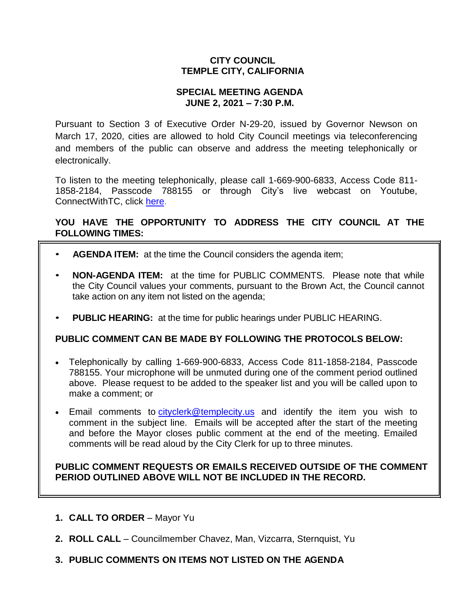# **CITY COUNCIL TEMPLE CITY, CALIFORNIA**

## **SPECIAL MEETING AGENDA JUNE 2, 2021 – 7:30 P.M.**

Pursuant to Section 3 of Executive Order N-29-20, issued by Governor Newson on March 17, 2020, cities are allowed to hold City Council meetings via teleconferencing and members of the public can observe and address the meeting telephonically or electronically.

To listen to the meeting telephonically, please call 1-669-900-6833, Access Code 811- 1858-2184, Passcode 788155 or through City's live webcast on Youtube, ConnectWithTC, click [here.](https://www.ci.temple-city.ca.us/516/Meeting-Webcast)

# **YOU HAVE THE OPPORTUNITY TO ADDRESS THE CITY COUNCIL AT THE FOLLOWING TIMES:**

- **AGENDA ITEM:** at the time the Council considers the agenda item;
- **NON-AGENDA ITEM:** at the time for PUBLIC COMMENTS. Please note that while the City Council values your comments, pursuant to the Brown Act, the Council cannot take action on any item not listed on the agenda;
- **PUBLIC HEARING:** at the time for public hearings under PUBLIC HEARING.

# **PUBLIC COMMENT CAN BE MADE BY FOLLOWING THE PROTOCOLS BELOW:**

- Telephonically by calling 1-669-900-6833, Access Code 811-1858-2184, Passcode 788155. Your microphone will be unmuted during one of the comment period outlined above. Please request to be added to the speaker list and you will be called upon to make a comment; or
- Email comments to [cityclerk@templecity.us](mailto:cityclerk@templecity.us) and identify the item you wish to comment in the subject line. Emails will be accepted after the start of the meeting and before the Mayor closes public comment at the end of the meeting. Emailed comments will be read aloud by the City Clerk for up to three minutes.

#### **PUBLIC COMMENT REQUESTS OR EMAILS RECEIVED OUTSIDE OF THE COMMENT PERIOD OUTLINED ABOVE WILL NOT BE INCLUDED IN THE RECORD.**

- **1. CALL TO ORDER**  Mayor Yu
- **2. ROLL CALL**  Councilmember Chavez, Man, Vizcarra, Sternquist, Yu
- **3. PUBLIC COMMENTS ON ITEMS NOT LISTED ON THE AGENDA**